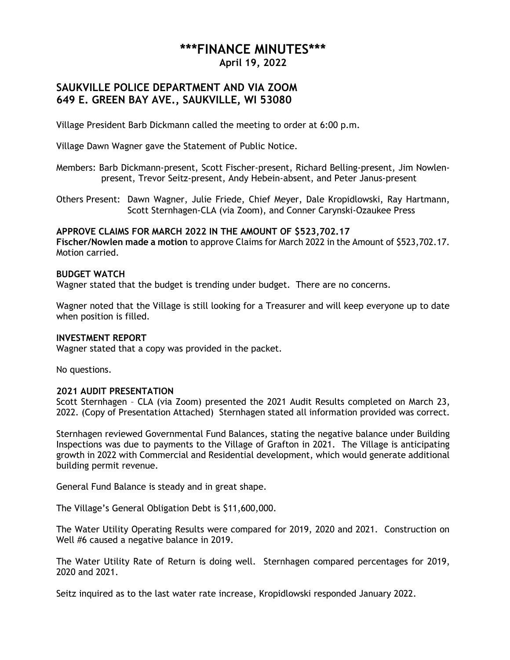# **\*\*\*FINANCE MINUTES\*\*\***

**April 19, 2022**

## **SAUKVILLE POLICE DEPARTMENT AND VIA ZOOM 649 E. GREEN BAY AVE., SAUKVILLE, WI 53080**

Village President Barb Dickmann called the meeting to order at 6:00 p.m.

Village Dawn Wagner gave the Statement of Public Notice.

Members: Barb Dickmann-present, Scott Fischer-present, Richard Belling-present, Jim Nowlenpresent, Trevor Seitz-present, Andy Hebein-absent, and Peter Janus-present

Others Present: Dawn Wagner, Julie Friede, Chief Meyer, Dale Kropidlowski, Ray Hartmann, Scott Sternhagen-CLA (via Zoom), and Conner Carynski-Ozaukee Press

#### **APPROVE CLAIMS FOR MARCH 2022 IN THE AMOUNT OF \$523,702.17**

**Fischer/Nowlen made a motion** to approve Claims for March 2022 in the Amount of \$523,702.17. Motion carried.

#### **BUDGET WATCH**

Wagner stated that the budget is trending under budget. There are no concerns.

Wagner noted that the Village is still looking for a Treasurer and will keep everyone up to date when position is filled.

#### **INVESTMENT REPORT**

Wagner stated that a copy was provided in the packet.

No questions.

#### **2021 AUDIT PRESENTATION**

Scott Sternhagen – CLA (via Zoom) presented the 2021 Audit Results completed on March 23, 2022. (Copy of Presentation Attached) Sternhagen stated all information provided was correct.

Sternhagen reviewed Governmental Fund Balances, stating the negative balance under Building Inspections was due to payments to the Village of Grafton in 2021. The Village is anticipating growth in 2022 with Commercial and Residential development, which would generate additional building permit revenue.

General Fund Balance is steady and in great shape.

The Village's General Obligation Debt is \$11,600,000.

The Water Utility Operating Results were compared for 2019, 2020 and 2021. Construction on Well #6 caused a negative balance in 2019.

The Water Utility Rate of Return is doing well. Sternhagen compared percentages for 2019, 2020 and 2021.

Seitz inquired as to the last water rate increase, Kropidlowski responded January 2022.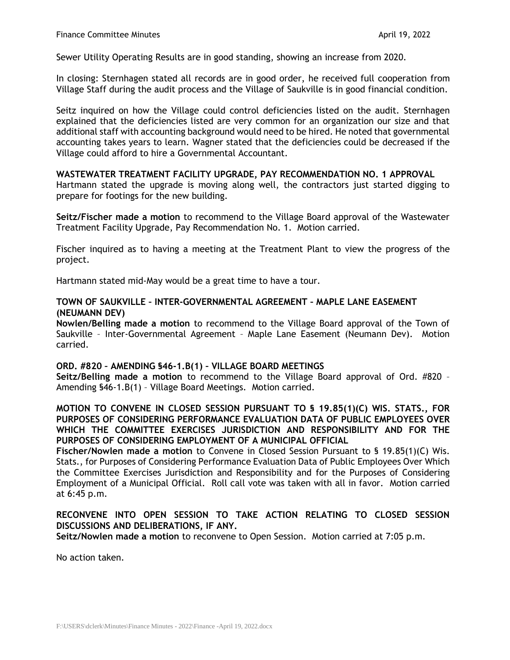Sewer Utility Operating Results are in good standing, showing an increase from 2020.

In closing: Sternhagen stated all records are in good order, he received full cooperation from Village Staff during the audit process and the Village of Saukville is in good financial condition.

Seitz inquired on how the Village could control deficiencies listed on the audit. Sternhagen explained that the deficiencies listed are very common for an organization our size and that additional staff with accounting background would need to be hired. He noted that governmental accounting takes years to learn. Wagner stated that the deficiencies could be decreased if the Village could afford to hire a Governmental Accountant.

#### **WASTEWATER TREATMENT FACILITY UPGRADE, PAY RECOMMENDATION NO. 1 APPROVAL**

Hartmann stated the upgrade is moving along well, the contractors just started digging to prepare for footings for the new building.

**Seitz/Fischer made a motion** to recommend to the Village Board approval of the Wastewater Treatment Facility Upgrade, Pay Recommendation No. 1. Motion carried.

Fischer inquired as to having a meeting at the Treatment Plant to view the progress of the project.

Hartmann stated mid-May would be a great time to have a tour.

#### **TOWN OF SAUKVILLE – INTER-GOVERNMENTAL AGREEMENT – MAPLE LANE EASEMENT (NEUMANN DEV)**

**Nowlen/Belling made a motion** to recommend to the Village Board approval of the Town of Saukville – Inter-Governmental Agreement – Maple Lane Easement (Neumann Dev). Motion carried.

#### **ORD. #820 – AMENDING §46-1.B(1) – VILLAGE BOARD MEETINGS**

**Seitz/Belling made a motion** to recommend to the Village Board approval of Ord. #820 – Amending §46-1.B(1) – Village Board Meetings. Motion carried.

#### **MOTION TO CONVENE IN CLOSED SESSION PURSUANT TO § 19.85(1)(C) WIS. STATS., FOR PURPOSES OF CONSIDERING PERFORMANCE EVALUATION DATA OF PUBLIC EMPLOYEES OVER WHICH THE COMMITTEE EXERCISES JURISDICTION AND RESPONSIBILITY AND FOR THE PURPOSES OF CONSIDERING EMPLOYMENT OF A MUNICIPAL OFFICIAL**

**Fischer/Nowlen made a motion** to Convene in Closed Session Pursuant to § 19.85(1)(C) Wis. Stats., for Purposes of Considering Performance Evaluation Data of Public Employees Over Which the Committee Exercises Jurisdiction and Responsibility and for the Purposes of Considering Employment of a Municipal Official. Roll call vote was taken with all in favor. Motion carried at 6:45 p.m.

## **RECONVENE INTO OPEN SESSION TO TAKE ACTION RELATING TO CLOSED SESSION DISCUSSIONS AND DELIBERATIONS, IF ANY.**

**Seitz/Nowlen made a motion** to reconvene to Open Session. Motion carried at 7:05 p.m.

No action taken.